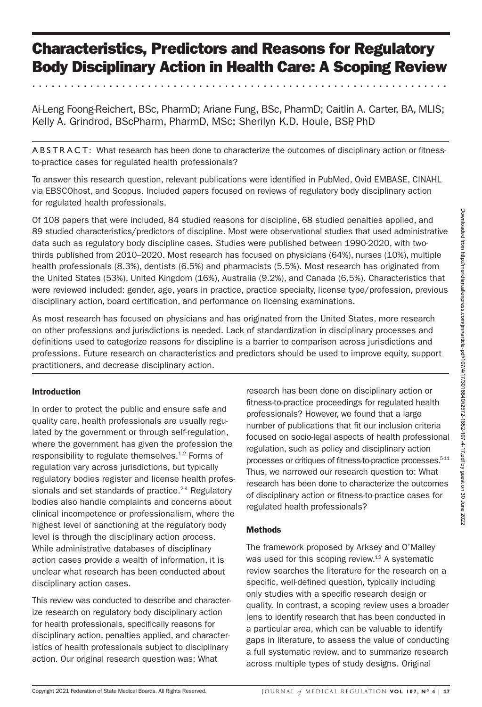# Characteristics, Predictors and Reasons for Regulatory Body Disciplinary Action in Health Care: A Scoping Review

. . . . . . . . . . . . . . . . . . . . . . . . . . . . . . . . . . . . . . . . . . . . . . . . . . . . . . . . . . . . . . . . .

Ai-Leng Foong-Reichert, BSc, PharmD; Ariane Fung, BSc, PharmD; Caitlin A. Carter, BA, MLIS; Kelly A. Grindrod, BScPharm, PharmD, MSc; Sherilyn K.D. Houle, BSP, PhD

ABSTRACT: What research has been done to characterize the outcomes of disciplinary action or fitnessto-practice cases for regulated health professionals?

To answer this research question, relevant publications were identified in PubMed, Ovid EMBASE, CINAHL via EBSCOhost, and Scopus. Included papers focused on reviews of regulatory body disciplinary action for regulated health professionals.

Of 108 papers that were included, 84 studied reasons for discipline, 68 studied penalties applied, and 89 studied characteristics/predictors of discipline. Most were observational studies that used administrative data such as regulatory body discipline cases. Studies were published between 1990-2020, with twothirds published from 2010–2020. Most research has focused on physicians (64%), nurses (10%), multiple health professionals (8.3%), dentists (6.5%) and pharmacists (5.5%). Most research has originated from the United States (53%), United Kingdom (16%), Australia (9.2%), and Canada (6.5%). Characteristics that were reviewed included: gender, age, years in practice, practice specialty, license type/profession, previous disciplinary action, board certification, and performance on licensing examinations. of 11 03 paper has the search of the split of the political and the split of the split of the split of the split of the split of the split of the split of the split of the split of the split of the split of the split of th

As most research has focused on physicians and has originated from the United States, more research on other professions and jurisdictions is needed. Lack of standardization in disciplinary processes and definitions used to categorize reasons for discipline is a barrier to comparison across jurisdictions and professions. Future research on characteristics and predictors should be used to improve equity, support practitioners, and decrease disciplinary action.

## Introduction

In order to protect the public and ensure safe and quality care, health professionals are usually regulated by the government or through self-regulation, where the government has given the profession the responsibility to regulate themselves.<sup>1,2</sup> Forms of regulation vary across jurisdictions, but typically regulatory bodies register and license health professionals and set standards of practice.<sup>2-4</sup> Regulatory bodies also handle complaints and concerns about clinical incompetence or professionalism, where the highest level of sanctioning at the regulatory body level is through the disciplinary action process. While administrative databases of disciplinary action cases provide a wealth of information, it is unclear what research has been conducted about disciplinary action cases.

This review was conducted to describe and characterize research on regulatory body disciplinary action for health professionals, specifically reasons for disciplinary action, penalties applied, and characteristics of health professionals subject to disciplinary action. Our original research question was: What

research has been done on disciplinary action or fitness-to-practice proceedings for regulated health professionals? However, we found that a large number of publications that fit our inclusion criteria focused on socio-legal aspects of health professional regulation, such as policy and disciplinary action processes or critiques of fitness-to-practice processes.<sup>5-11</sup> Thus, we narrowed our research question to: What research has been done to characterize the outcomes of disciplinary action or fitness-to-practice cases for regulated health professionals?

## Methods

The framework proposed by Arksey and O'Malley was used for this scoping review.<sup>12</sup> A systematic review searches the literature for the research on a specific, well-defined question, typically including only studies with a specific research design or quality. In contrast, a scoping review uses a broader lens to identify research that has been conducted in a particular area, which can be valuable to identify gaps in literature, to assess the value of conducting a full systematic review, and to summarize research across multiple types of study designs. Original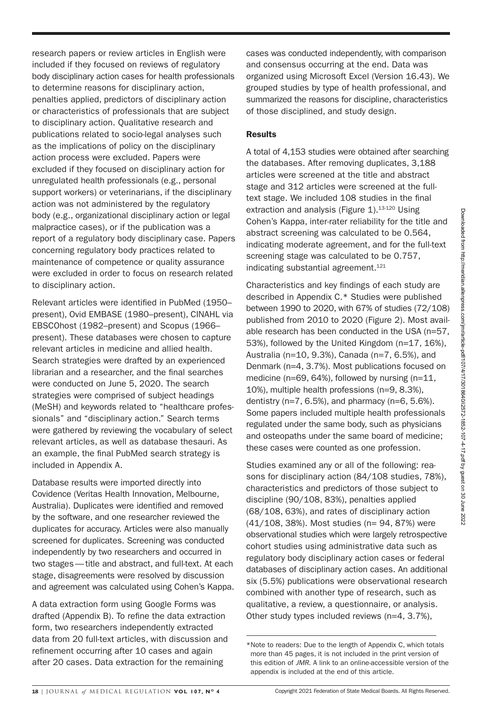research papers or review articles in English were included if they focused on reviews of regulatory body disciplinary action cases for health professionals to determine reasons for disciplinary action, penalties applied, predictors of disciplinary action or characteristics of professionals that are subject to disciplinary action. Qualitative research and publications related to socio-legal analyses such as the implications of policy on the disciplinary action process were excluded. Papers were excluded if they focused on disciplinary action for unregulated health professionals (e.g., personal support workers) or veterinarians, if the disciplinary action was not administered by the regulatory body (e.g., organizational disciplinary action or legal malpractice cases), or if the publication was a report of a regulatory body disciplinary case. Papers con cerning regulatory body practices related to maintenance of competence or quality assurance were excluded in order to focus on research related to disciplinary action.

Relevant articles were identified in PubMed (1950present), Ovid EMBASE (1980–present), CINAHL via EBSCOhost (1982–present) and Scopus (1966– present). These databases were chosen to capture relevant articles in medicine and allied health. Search strategies were drafted by an experienced librarian and a researcher, and the final searches were conducted on June 5, 2020. The search strategies were comprised of subject headings (MeSH) and keywords related to "healthcare professionals" and "disciplinary action." Search terms were gathered by reviewing the vocabulary of select relevant articles, as well as database thesauri. As an example, the final PubMed search strategy is included in Appendix A.

Database results were imported directly into Covidence (Veritas Health Innovation, Melbourne, Australia). Duplicates were identified and removed by the software, and one researcher reviewed the duplicates for accuracy. Articles were also manually screened for duplicates. Screening was conducted independently by two researchers and occurred in two stages — title and abstract, and full-text. At each stage, disagreements were resolved by discussion and agreement was calculated using Cohen's Kappa.

A data extraction form using Google Forms was drafted (Appendix B). To refine the data extraction form, two researchers independently extracted data from 20 full-text articles, with discussion and refinement occurring after 10 cases and again after 20 cases. Data extraction for the remaining

cases was conducted independently, with comparison and consensus occurring at the end. Data was organized using Microsoft Excel (Version 16.43). We grouped studies by type of health professional, and summarized the reasons for discipline, characteristics of those disciplined, and study design.

## **Results**

A total of 4,153 studies were obtained after searching the databases. After removing duplicates, 3,188 articles were screened at the title and abstract stage and 312 articles were screened at the fulltext stage. We included 108 studies in the final extraction and analysis (Figure 1).<sup>13-120</sup> Using Cohen's Kappa, inter-rater reliability for the title and abstract screening was calculated to be 0.564, indicating moderate agreement, and for the full-text screening stage was calculated to be 0.757, indicating substantial agreement.<sup>121</sup>

Characteristics and key findings of each study are described in Appendix C.\* Studies were published between 1990 to 2020, with 67% of studies (72/108) published from 2010 to 2020 (Figure 2). Most available research has been conducted in the USA (n=57, 53%), followed by the United Kingdom (n=17, 16%), Australia (n=10, 9.3%), Canada (n=7, 6.5%), and Denmark (n=4, 3.7%). Most publications focused on medicine (n=69, 64%), followed by nursing (n=11, 10%), multiple health professions (n=9, 8.3%), dentistry  $(n=7, 6.5\%)$ , and pharmacy  $(n=6, 5.6\%)$ . Some papers included multiple health professionals regulated under the same body, such as physicians and osteopaths under the same board of medicine; these cases were counted as one profession. book) (at, updrain the proof is a complete the complete transmission of the actual control and the complete transmission (at  $\alpha$  and  $\alpha$  and  $\alpha$  and  $\alpha$  and  $\alpha$  and  $\alpha$  and  $\alpha$  and  $\alpha$  and  $\alpha$  and  $\alpha$  and  $\alpha$  a

Studies examined any or all of the following: reasons for disciplinary action (84/108 studies, 78%), characteristics and predictors of those subject to discipline (90/108, 83%), penalties applied (68/108, 63%), and rates of disciplinary action (41/108, 38%). Most studies (n= 94, 87%) were observational studies which were largely retrospective cohort studies using administrative data such as regulatory body disciplinary action cases or federal databases of disciplinary action cases. An additional six (5.5%) publications were observational research combined with another type of research, such as qualitative, a review, a questionnaire, or analysis. Other study types included reviews (n=4, 3.7%),

<sup>\*</sup> Note to readers: Due to the length of Appendix C, which totals more than 45 pages, it is not included in the print version of this edition of *JMR*. A link to an online-accessible version of the appendix is included at the end of this article.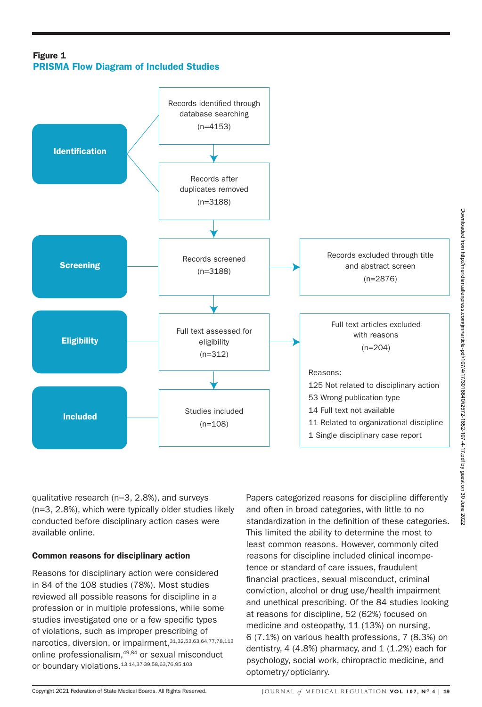Figure 1 PRISMA Flow Diagram of Included Studies



qualitative research (n=3, 2.8%), and surveys (n=3, 2.8%), which were typically older studies likely conducted before disciplinary action cases were available online.

## Common reasons for disciplinary action

Reasons for disciplinary action were considered in 84 of the 108 studies (78%). Most studies reviewed all possible reasons for discipline in a profession or in multiple professions, while some studies investigated one or a few specific types of violations, such as improper prescribing of narcotics, diversion, or impairment, 31,32,53,63,64,77,78,113 online professionalism,<sup>49,84</sup> or sexual misconduct or boundary violations.13,14,37-39,58,63,76,95,103

Papers categorized reasons for discipline differently and often in broad categories, with little to no standardization in the definition of these categories. This limited the ability to determine the most to least common reasons. However, commonly cited reasons for discipline included clinical incompetence or standard of care issues, fraudulent financial practices, sexual misconduct, criminal conviction, alcohol or drug use/health impairment and unethical prescribing. Of the 84 studies looking at reasons for discipline, 52 (62%) focused on medicine and osteopathy, 11 (13%) on nursing, 6 (7.1%) on various health professions, 7 (8.3%) on dentistry, 4  $(4.8%)$  pharmacy, and 1  $(1.2%)$  each for psychology, social work, chiropractic medicine, and optometry/opticianry.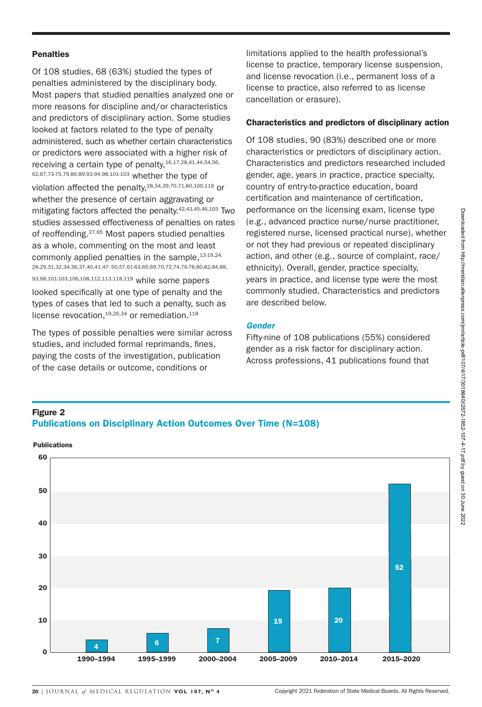#### **Penalties**

Of 108 studies, 68 (63%) studied the types of penalties administered by the disciplinary body. Most papers that studied penalties analyzed one or more reasons for discipline and/or characteristics and predictors of disciplinary action. Some studies looked at factors related to the type of penalty administered, such as whether certain characteristics or predictors were associated with a higher risk of receiving a certain type of penalty, 16,17,28,41,44,54,56, 62,67,73-75,79,80,89,93,94,98,101-103 whether the type of violation affected the penalty, 28,34,39,70,71,80,100,119 or whether the presence of certain aggravating or mitigating factors affected the penalty.42,43,45,46,103 Two studies assessed effectiveness of penalties on rates of reoffending.27,65 Most papers studied penalties as a whole, commenting on the most and least commonly applied penalties in the sample, 13-19,24, 28,29,31,32,34,36,37,40,41,47- 50,57,61-63,65,69,70,72,74,76-78,80,82,84,88, 93,98,101-103,106,108,112,113,118,119 while some papers looked specifically at one type of penalty and the

types of cases that led to such a penalty, such as license revocation, <sup>19,26,34</sup> or remediation.<sup>118</sup> The types of possible penalties were similar across

studies, and included formal reprimands, fines, paying the costs of the investigation, publication of the case details or outcome, conditions or

limitations applied to the health professional's license to practice, temporary license suspension, and license revocation (i.e., permanent loss of a license to practice, also referred to as license cancellation or erasure).

## Characteristics and predictors of disciplinary action

Of 108 studies, 90 (83%) described one or more characteristics or predictors of disciplinary action. Characteristics and predictors researched included gender, age, years in practice, practice specialty, country of entry-to-practice education, board certification and maintenance of certification. performance on the licensing exam, license type (e.g., advanced practice nurse/nurse practitioner, registered nurse, licensed practical nurse), whether or not they had previous or repeated disciplinary action, and other (e.g., source of complaint, race/ ethnicity). Overall, gender, practice specialty, years in practice, and license type were the most commonly studied. Characteristics and predictors are described below.

## *Gender*

Fifty-nine of 108 publications (55%) considered gender as a risk factor for disciplinary action. Across professions, 41 publications found that

## Figure 2 Publications on Disciplinary Action Outcomes Over Time (N=108)

Pubiications

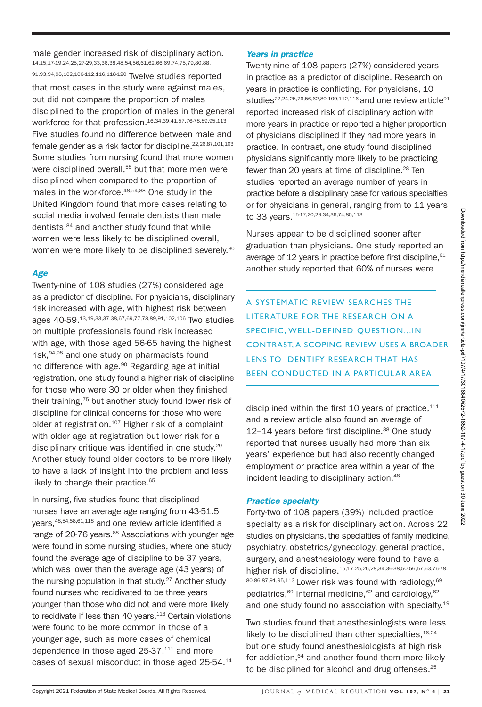male gender increased risk of disciplinary action. 14,15,17-19,24,25,27-29,33,36,38,48,54,56,61,62,66,69,74,75,79,80,88,

91,93,94,98,102,106-112,116,118-120 Twelve studies reported that most cases in the study were against males, but did not compare the proportion of males disciplined to the proportion of males in the general workforce for that profession.<sup>16,34,39,41,57,76-78,89,95,113</sup> Five studies found no difference between male and female gender as a risk factor for discipline.<sup>22,26,87,101,103</sup> Some studies from nursing found that more women were disciplined overall,<sup>58</sup> but that more men were disciplined when compared to the proportion of males in the workforce.<sup>48,54,88</sup> One study in the United Kingdom found that more cases relating to social media involved female dentists than male dentists,<sup>84</sup> and another study found that while women were less likely to be disciplined overall, women were more likely to be disciplined severely.<sup>80</sup>

## *Age*

Twenty-nine of 108 studies (27%) considered age as a predictor of discipline. For physicians, disciplinary risk increased with age, with highest risk between ages 40-59.13,19,33,37,38,67,69,77,78,89,91,102,106 Two studies on multiple professionals found risk increased with age, with those aged 56-65 having the highest risk,<sup>94,98</sup> and one study on pharmacists found no difference with age.<sup>90</sup> Regarding age at initial registration, one study found a higher risk of discipline for those who were 30 or older when they finished their training,<sup>75</sup> but another study found lower risk of discipline for clinical concerns for those who were older at registration. $107$  Higher risk of a complaint with older age at registration but lower risk for a disciplinary critique was identified in one study. $20$ Another study found older doctors to be more likely to have a lack of insight into the problem and less likely to change their practice.<sup>65</sup> vocale and model from the determined to the system is the model of the system of the system of the system of the system of the system of the system of the system of the system of the system of the system of the system of t

In nursing, five studies found that disciplined nurses have an average age ranging from 43-51.5 vears.<sup>48,54,58,61,118</sup> and one review article identified a range of 20-76 years.<sup>88</sup> Associations with younger age were found in some nursing studies, where one study found the average age of discipline to be 37 years, which was lower than the average age (43 years) of the nursing population in that study. $27$  Another study found nurses who recidivated to be three years younger than those who did not and were more likely to recidivate if less than 40 years. $118$  Certain violations were found to be more common in those of a younger age, such as more cases of chemical dependence in those aged  $25-37$ ,  $111$  and more cases of sexual misconduct in those aged 25-54.14

## *Years in practice*

Twenty-nine of 108 papers (27%) considered years in practice as a predictor of discipline. Research on years in practice is conflicting. For physicians, 10 studies<sup>22,24,25,26,56,62,80,109,112,116</sup> and one review article<sup>91</sup> reported increased risk of disciplinary action with more years in practice or reported a higher proportion of physicians disciplined if they had more years in practice. In contrast, one study found disciplined physicians significantly more likely to be practicing fewer than 20 years at time of discipline.<sup>28</sup> Ten studies reported an average number of years in practice before a disciplinary case for various specialties or for physicians in general, ranging from to 11 years to 33 years.15-17,20,29,34,36,74,85,113

Nurses appear to be disciplined sooner after graduation than physicians. One study reported an average of 12 years in practice before first discipline,  $61$ another study reported that 60% of nurses were

A SYSTEMATIC REVIEW SEARCHES THE LITERATURE FOR THE RESEARCH ON A SPECIFIC, WELL-DEFINED QUESTION...IN CONTRAST, A SCOPING REVIEW USES A BROADER LENS TO IDENTIFY RESEARCH THAT HAS BEEN CONDUCTED IN A PARTICULAR AREA.

disciplined within the first 10 years of practice, $111$ and a review article also found an average of 12–14 years before first discipline. $88$  One study reported that nurses usually had more than six years' experience but had also recently changed employment or practice area within a year of the incident leading to disciplinary action.<sup>48</sup>

## *Practice specialty*

Forty-two of 108 papers (39%) included practice specialty as a risk for disciplinary action. Across 22 studies on physicians, the specialties of family medicine, psychiatry, obstetrics/gynecology, general practice, surgery, and anesthesiology were found to have a higher risk of discipline.15,17,25,26,28,34,36-38,50,56,57,63,76-78, 80,86,87,91,95,113 Lower risk was found with radiology, 69 pediatrics, $69$  internal medicine, $62$  and cardiology, $62$ and one study found no association with specialty.<sup>19</sup>

Two studies found that anesthesiologists were less likely to be disciplined than other specialties,  $16,24$ but one study found anesthesiologists at high risk for addiction, $64$  and another found them more likely to be disciplined for alcohol and drug offenses.<sup>25</sup>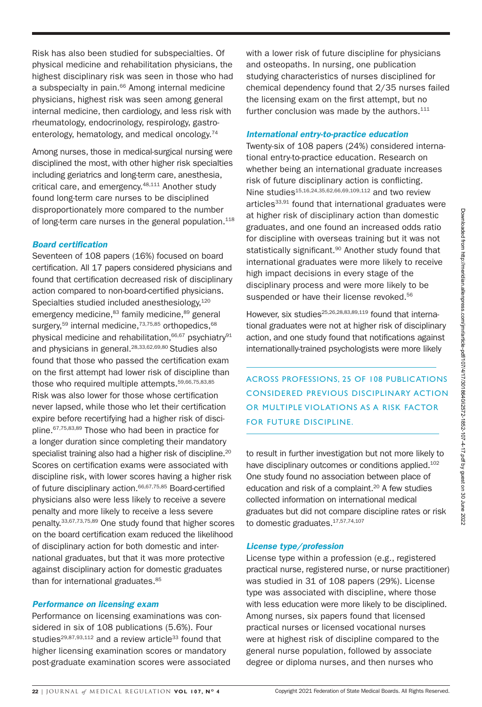Risk has also been studied for subspecialties. Of physical medicine and rehabilitation physicians, the highest disciplinary risk was seen in those who had a subspecialty in pain.<sup>66</sup> Among internal medicine physicians, highest risk was seen among general internal medicine, then cardiology, and less risk with rheumatology, endocrinology, respirology, gastroenterology, hematology, and medical oncology. $74$ 

Among nurses, those in medical-surgical nursing were disciplined the most, with other higher risk specialties including geriatrics and long-term care, anesthesia, critical care, and emergency.<sup>48,111</sup> Another study found long-term care nurses to be disciplined disproportionately more compared to the number of long-term care nurses in the general population.<sup>118</sup>

#### *Board certification*

Seventeen of 108 papers (16%) focused on board certification. All 17 papers considered physicians and found that certification decreased risk of disciplinary action compared to non-board-certified physicians. Specialties studied included anesthesiology,<sup>120</sup> emergency medicine,<sup>83</sup> family medicine,<sup>89</sup> general surgery,<sup>59</sup> internal medicine,<sup>73,75,85</sup> orthopedics,<sup>68</sup> physical medicine and rehabilitation,  $66,67$  psychiatry  $91$ and physicians in general.<sup>28,33,62,69,80</sup> Studies also found that those who passed the certification exam on the first attempt had lower risk of discipline than those who required multiple attempts. 59,66,75,83,85 Risk was also lower for those whose certification never lapsed, while those who let their certification expire before recertifying had a higher risk of discipline.67,75,83,89 Those who had been in practice for a longer duration since completing their mandatory specialist training also had a higher risk of discipline.<sup>20</sup> Scores on certification exams were associated with discipline risk, with lower scores having a higher risk of future disciplinary action.<sup>66,67,75,85</sup> Board-certified physicians also were less likely to receive a severe penalty and more likely to receive a less severe penalty.33,67,73,75,89 One study found that higher scores on the board certification exam reduced the likelihood of disciplinary action for both domestic and international graduates, but that it was more protective against disciplinary action for domestic graduates than for international graduates.<sup>85</sup> distinguish of the comparison of the comparison of the comparison of the comparison of the comparison of the comparison of the comparison of the comparison of the comparison of the comparison of the comparison of the compa

## *Performance on licensing exam*

Performance on licensing examinations was considered in six of 108 publications (5.6%). Four studies $29,87,93,112$  and a review article<sup>33</sup> found that higher licensing examination scores or mandatory post-graduate examination scores were associated with a lower risk of future discipline for physicians and osteopaths. In nursing, one publication studying characteristics of nurses disciplined for chemical dependency found that 2/35 nurses failed the licensing exam on the first attempt, but no further conclusion was made by the authors. $111$ 

## *International entry-to-practice education*

Twenty-six of 108 papers (24%) considered international entry-to-practice education. Research on whether being an international graduate increases risk of future disciplinary action is conflicting. Nine studies<sup>15,16,24,35,62,66,69,109,112</sup> and two review articles $33,91$  found that international graduates were at higher risk of disciplinary action than domestic graduates, and one found an increased odds ratio for discipline with overseas training but it was not statistically significant.<sup>90</sup> Another study found that international graduates were more likely to receive high impact decisions in every stage of the disciplinary process and were more likely to be suspended or have their license revoked.<sup>56</sup>

However, six studies<sup>25,26,28,83,89,119</sup> found that international graduates were not at higher risk of disciplinary action, and one study found that notifications against internationally-trained psychologists were more likely

ACROSS PROFESSIONS, 25 OF 108 PUBLICATIONS CONSIDERED PREVIOUS DISCIPLINARY ACTION OR MULTIPLE VIOLATIONS AS A RISK FACTOR FOR FUTURE DISCIPLINE.

to result in further investigation but not more likely to have disciplinary outcomes or conditions applied.<sup>102</sup> One study found no association between place of education and risk of a complaint.<sup>20</sup> A few studies collected information on international medical graduates but did not compare discipline rates or risk to domestic graduates.<sup>17,57,74,107</sup>

## *License type/profession*

License type within a profession (e.g., registered practical nurse, registered nurse, or nurse practitioner) was studied in 31 of 108 papers (29%). License type was associated with discipline, where those with less education were more likely to be disciplined. Among nurses, six papers found that licensed practical nurses or licensed vocational nurses were at highest risk of discipline compared to the general nurse population, followed by associate degree or diploma nurses, and then nurses who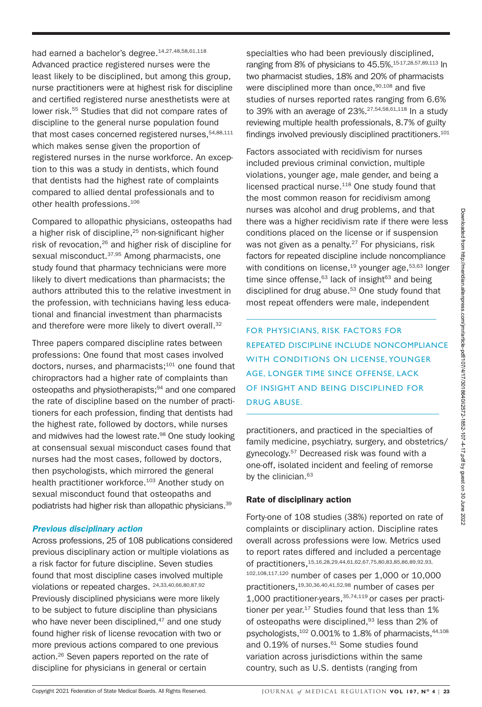had earned a bachelor's degree.<sup>14,27,48,58,61,118</sup> Advanced practice registered nurses were the least likely to be disciplined, but among this group, nurse practitioners were at highest risk for discipline and certified registered nurse anesthetists were at lower risk.<sup>55</sup> Studies that did not compare rates of discipline to the general nurse population found that most cases concerned registered nurses, 54,88,111 which makes sense given the proportion of registered nurses in the nurse workforce. An exception to this was a study in dentists, which found that dentists had the highest rate of complaints compared to allied dental professionals and to other health professions.106

Compared to allopathic physicians, osteopaths had a higher risk of discipline, $25$  non-significant higher risk of revocation,<sup>26</sup> and higher risk of discipline for sexual misconduct.<sup>37,95</sup> Among pharmacists, one study found that pharmacy technicians were more likely to divert medications than pharmacists; the authors attributed this to the relative investment in the profession, with technicians having less educational and financial investment than pharmacists and therefore were more likely to divert overall.<sup>32</sup>

Three papers compared discipline rates between professions: One found that most cases involved doctors, nurses, and pharmacists; $101$  one found that chiropractors had a higher rate of complaints than osteopaths and physiotherapists;<sup>94</sup> and one compared the rate of discipline based on the number of practitioners for each profession, finding that dentists had the highest rate, followed by doctors, while nurses and midwives had the lowest rate.<sup>98</sup> One study looking at consensual sexual misconduct cases found that nurses had the most cases, followed by doctors, then psychologists, which mirrored the general health practitioner workforce.<sup>103</sup> Another study on sexual misconduct found that osteopaths and podiatrists had higher risk than allopathic physicians.<sup>39</sup> Compared to ullocate interest. The method is the state of method in the state of the method interest. The state of the method interest of the method of the method of the method of the method interest of the method interes

#### *Previous disciplinary action*

Across professions, 25 of 108 publications considered previous disciplinary action or multiple violations as a risk factor for future discipline. Seven studies found that most discipline cases involved multiple violations or repeated charges. 24,33,40,66,80,87,92 Previously disciplined physicians were more likely to be subject to future discipline than physicians who have never been disciplined, $47$  and one study found higher risk of license revocation with two or more previous actions compared to one previous action.26 Seven papers reported on the rate of discipline for physicians in general or certain

specialties who had been previously disciplined, ranging from 8% of physicians to 45.5%.<sup>1517,28,57,89,113</sup> In two pharmacist studies, 18% and 20% of pharmacists were disciplined more than once, $90,108$  and five studies of nurses reported rates ranging from 6.6% to 39% with an average of 23%.27,54,58,61,118 In a study reviewing multiple health professionals, 8.7% of guilty findings involved previously disciplined practitioners. $101$ 

Factors associated with recidivism for nurses included previous criminal conviction, multiple violations, younger age, male gender, and being a licensed practical nurse.<sup>118</sup> One study found that the most common reason for recidivism among nurses was alcohol and drug problems, and that there was a higher recidivism rate if there were less conditions placed on the license or if suspension was not given as a penalty.<sup>27</sup> For physicians, risk factors for repeated discipline include noncompliance with conditions on license, $19$  younger age, $53,63$  longer time since offense, $63$  lack of insight $63$  and being disciplined for drug abuse.<sup>53</sup> One study found that most repeat offenders were male, independent

FOR PHYSICIANS, RISK FACTORS FOR REPEATED DISCIPLINE INCLUDE NONCOMPLIANCE WITH CONDITIONS ON LICENSE, YOUNGER AGE, LONGER TIME SINCE OFFENSE, LACK OF INSIGHT AND BEING DISCIPLINED FOR DRUG ABUSE.

practitioners, and practiced in the specialties of family medicine, psychiatry, surgery, and obstetrics/ gynecology.57 Decreased risk was found with a one-off, isolated incident and feeling of remorse by the clinician.<sup>63</sup>

## Rate of disciplinary action

Forty-one of 108 studies (38%) reported on rate of complaints or disciplinary action. Discipline rates overall across professions were low. Metrics used to report rates differed and included a percentage of practitioners,15,16,28,29,44,61,62,67,75,80,83,85,86,89,92,93, 102,108,117,120 number of cases per 1,000 or 10,000 practitioners,19,30,36,40,41,52,98 number of cases per 1,000 practitioner-years,<sup>35,74,119</sup> or cases per practitioner per year. $17$  Studies found that less than  $1\%$ of osteopaths were disciplined, $93$  less than 2% of psychologists,<sup>102</sup> 0.001% to 1.8% of pharmacists,<sup>44,108</sup> and 0.19% of nurses.<sup>61</sup> Some studies found variation across jurisdictions within the same country, such as U.S. dentists (ranging from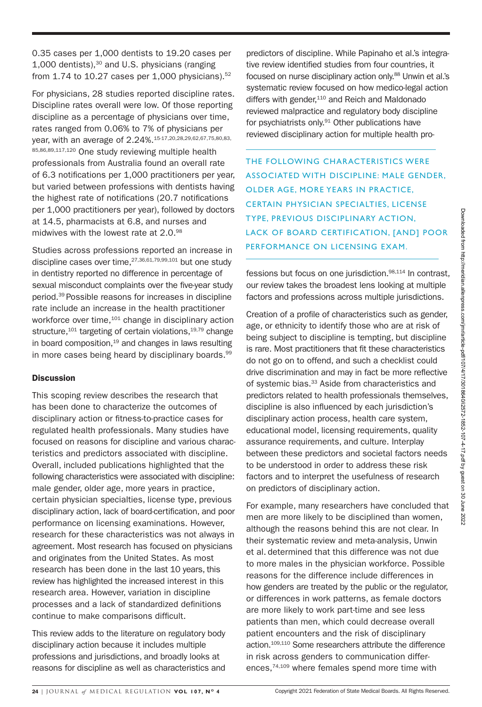0.35 cases per 1,000 dentists to 19.20 cases per 1,000 dentists), $30$  and U.S. physicians (ranging from  $1.74$  to  $10.27$  cases per  $1,000$  physicians).<sup>52</sup>

For physicians, 28 studies reported discipline rates. Discipline rates overall were low. Of those reporting discipline as a percentage of physicians over time, rates ranged from 0.06% to 7% of physicians per year, with an average of 2.24%.<sup>15-17,20,28,29,62,67,75,80,83,</sup> 85,86,89,117,120 One study reviewing multiple health professionals from Australia found an overall rate of 6.3 notifications per 1,000 practitioners per year, but varied between professions with dentists having the highest rate of notifications (20.7 notifications per 1,000 practitioners per year), followed by doctors at 14.5, pharmacists at 6.8, and nurses and midwives with the lowest rate at 2.0.<sup>98</sup>

Studies across professions reported an increase in discipline cases over time, 27,36,61,79,99,101 but one study in dentistry reported no difference in percentage of sexual misconduct complaints over the five-year study period.39 Possible reasons for increases in discipline rate include an increase in the health practitioner workforce over time,<sup>101</sup> change in disciplinary action structure,<sup>101</sup> targeting of certain violations,<sup>19,79</sup> change in board composition, $19$  and changes in laws resulting in more cases being heard by disciplinary boards.<sup>99</sup>

## **Discussion**

This scoping review describes the research that has been done to characterize the outcomes of disciplinary action or fitness-to-practice cases for regulated health professionals. Many studies have focused on reasons for discipline and various characteristics and predictors associated with discipline. Overall, included publications highlighted that the following characteristics were associated with discipline: male gender, older age, more years in practice, certain physician specialties, license type, previous disciplinary action, lack of board-certification, and poor performance on licensing examinations. However, research for these characteristics was not always in agreement. Most research has focused on physicians and originates from the United States. As most research has been done in the last 10 years, this review has highlighted the increased interest in this research area. However, variation in discipline processes and a lack of standardized definitions continue to make comparisons difficult. or 10.100 Becauses with the two methods of the state in the state of the state of the state of the state of the state of the state of the state of the state of the state of the state of the state of the state of the state

This review adds to the literature on regulatory body disciplinary action because it includes multiple professions and jurisdictions, and broadly looks at reasons for discipline as well as characteristics and

predictors of discipline. While Papinaho et al.'s integrative review identified studies from four countries, it focused on nurse disciplinary action only.<sup>88</sup> Unwin et al.'s systematic review focused on how medico-legal action differs with gender, $110$  and Reich and Maldonado reviewed malpractice and regulatory body discipline for psychiatrists only.<sup>91</sup> Other publications have reviewed disciplinary action for multiple health pro-

THE FOLLOWING CHARACTERISTICS WERE ASSOCIATED WITH DISCIPLINE: MALE GENDER, OLDER AGE, MORE YEARS IN PRACTICE, CERTAIN PHYSICIAN SPECIALTIES, LICENSE TYPE, PREVIOUS DISCIPLINARY ACTION, LACK OF BOARD CERTIFICATION, [AND] POOR PERFORMANCE ON LICENSING EXAM.

fessions but focus on one jurisdiction.<sup>98,114</sup> In contrast, our review takes the broadest lens looking at multiple factors and professions across multiple jurisdictions.

Creation of a profile of characteristics such as gender, age, or ethnicity to identify those who are at risk of being subject to discipline is tempting, but discipline is rare. Most practitioners that fit these characteristics do not go on to offend, and such a checklist could drive discrimination and may in fact be more reflective of systemic bias.<sup>33</sup> Aside from characteristics and predictors related to health professionals themselves, discipline is also influenced by each jurisdiction's disciplinary action process, health care system, educational model, licensing requirements, quality assurance requirements, and culture. Interplay between these predictors and societal factors needs to be understood in order to address these risk factors and to interpret the usefulness of research on predictors of disciplinary action.

For example, many researchers have concluded that men are more likely to be disciplined than women, although the reasons behind this are not clear. In their systematic review and meta-analysis, Unwin et al. determined that this difference was not due to more males in the physician workforce. Possible reasons for the difference include differences in how genders are treated by the public or the regulator, or differences in work patterns, as female doctors are more likely to work part-time and see less patients than men, which could decrease overall patient encounters and the risk of disciplinary action.109,110 Some researchers attribute the difference in risk across genders to communication differences,74,109 where females spend more time with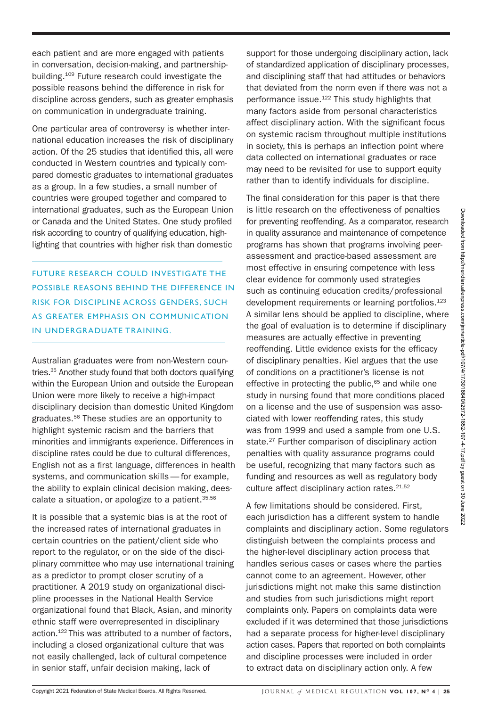each patient and are more engaged with patients in conversation, decision-making, and partnershipbuilding.109 Future research could investigate the possible reasons behind the difference in risk for discipline across genders, such as greater emphasis on communication in undergraduate training.

One particular area of controversy is whether international education increases the risk of disciplinary action. Of the 25 studies that identified this, all were conducted in Western countries and typically compared domestic graduates to international graduates as a group. In a few studies, a small number of countries were grouped together and compared to international graduates, such as the European Union or Canada and the United States. One study profiled risk according to country of qualifying education, highlighting that countries with higher risk than domestic

FUTURE RESEARCH COULD INVESTIGATE THE POSSIBLE REASONS BEHIND THE DIFFERENCE IN RISK FOR DISCIPLINE ACROSS GENDERS, SUCH AS GREATER EMPHASIS ON COMMUNICATION IN UNDERGRADUATE TRAINING.

Australian graduates were from non-Western countries.<sup>35</sup> Another study found that both doctors qualifying within the European Union and outside the European Union were more likely to receive a high-impact disciplinary decision than domestic United Kingdom graduates.56 These studies are an opportunity to highlight systemic racism and the barriers that minorities and immigrants experience. Differences in discipline rates could be due to cultural differences, English not as a first language, differences in health systems, and communication skills — for example, the ability to explain clinical decision making, deescalate a situation, or apologize to a patient.<sup>35,56</sup>

It is possible that a systemic bias is at the root of the increased rates of international graduates in certain countries on the patient/client side who report to the regulator, or on the side of the disciplinary committee who may use international training as a predictor to prompt closer scrutiny of a practitioner. A 2019 study on organizational discipline processes in the National Health Service organizational found that Black, Asian, and minority ethnic staff were overrepresented in disciplinary action.<sup>122</sup> This was attributed to a number of factors, including a closed organizational culture that was not easily challenged, lack of cultural competence in senior staff, unfair decision making, lack of

support for those undergoing disciplinary action, lack of standardized application of disciplinary processes, and disciplining staff that had attitudes or behaviors that deviated from the norm even if there was not a performance issue.<sup>122</sup> This study highlights that many factors aside from personal characteristics affect disciplinary action. With the significant focus on systemic racism throughout multiple institutions in society, this is perhaps an inflection point where data collected on international graduates or race may need to be revisited for use to support equity rather than to identify individuals for discipline.

The final consideration for this paper is that there is little research on the effectiveness of penalties for preventing reoffending. As a comparator, research in quality assurance and maintenance of competence programs has shown that programs involving peerassessment and practice-based assessment are most effective in ensuring competence with less clear evidence for commonly used strategies such as continuing education credits/professional development requirements or learning portfolios.<sup>123</sup> A similar lens should be applied to discipline, where the goal of evaluation is to determine if disciplinary measures are actually effective in preventing reoffending. Little evidence exists for the efficacy of disciplinary penalties. Kiel argues that the use of conditions on a practitioner's license is not effective in protecting the public, $65$  and while one study in nursing found that more conditions placed on a license and the use of suspension was associated with lower reoffending rates, this study was from 1999 and used a sample from one U.S. state.<sup>27</sup> Further comparison of disciplinary action penalties with quality assurance programs could be useful, recognizing that many factors such as funding and resources as well as regulatory body culture affect disciplinary action rates.<sup>21,52</sup> Mediated Section 2.1 provides and the section of the unit of the section of the theoretical provides and the properties of the section of the section of the section of the section of the section of the section of the sect

A few limitations should be considered. First, each jurisdiction has a different system to handle complaints and disciplinary action. Some regulators distinguish between the complaints process and the higher-level disciplinary action process that handles serious cases or cases where the parties cannot come to an agreement. However, other jurisdictions might not make this same distinction and studies from such jurisdictions might report complaints only. Papers on complaints data were excluded if it was determined that those jurisdictions had a separate process for higher-level disciplinary action cases. Papers that reported on both complaints and discipline processes were included in order to extract data on disciplinary action only. A few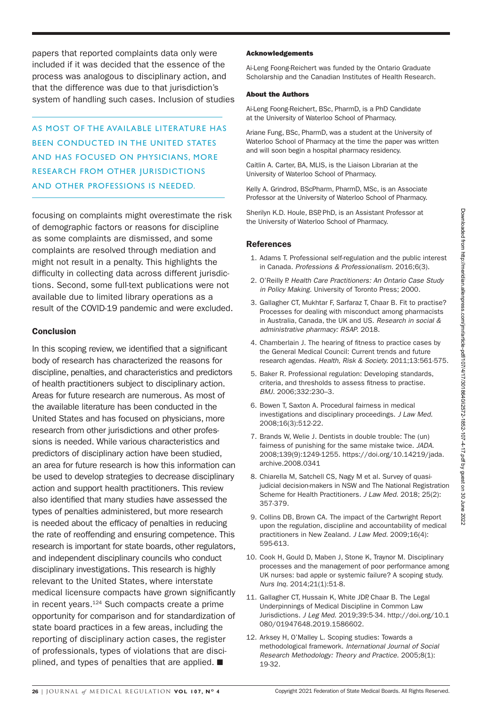papers that reported complaints data only were included if it was decided that the essence of the process was analogous to disciplinary action, and that the difference was due to that jurisdiction's system of handling such cases. Inclusion of studies

AS MOST OF THE AVAILABLE LITERATURE HAS BEEN CONDUCTED IN THE UNITED STATES AND HAS FOCUSED ON PHYSICIANS, MORE RESEARCH FROM OTHER JURISDICTIONS AND OTHER PROFESSIONS IS NEEDED.

focusing on complaints might overestimate the risk of demographic factors or reasons for discipline as some complaints are dismissed, and some complaints are resolved through mediation and might not result in a penalty. This highlights the difficulty in collecting data across different jurisdictions. Second, some full-text publications were not available due to limited library operations as a result of the COVID-19 pandemic and were excluded.

#### **Conclusion**

In this scoping review, we identified that a significant body of research has characterized the reasons for discipline, penalties, and characteristics and predictors of health practitioners subject to disciplinary action. Areas for future research are numerous. As most of the available literature has been conducted in the United States and has focused on physicians, more research from other jurisdictions and other professions is needed. While various characteristics and predictors of disciplinary action have been studied, an area for future research is how this information can be used to develop strategies to decrease disciplinary action and support health practitioners. This review also identified that many studies have assessed the types of penalties administered, but more research is needed about the efficacy of penalties in reducing the rate of reoffending and ensuring competence. This research is important for state boards, other regulators, and independent disciplinary councils who conduct disciplinary investigations. This research is highly relevant to the United States, where interstate medical licensure compacts have grown significantly in recent years.<sup>124</sup> Such compacts create a prime opportunity for comparison and for standardization of state board practices in a few areas, including the reporting of disciplinary action cases, the register of professionals, types of violations that are disciplined, and types of penalties that are applied.  $\blacksquare$ Volume in the method is the state of the method in the state is the anisotration of the method and a state of the state of the state of the state of the state of the state of the state of the state of the state of the st

#### Acknowledgements

Ai-Leng Foong-Reichert was funded by the Ontario Graduate Scholarship and the Canadian Institutes of Health Research.

#### About the Authors

Ai-Leng Foong-Reichert, BSc, PharmD, is a PhD Candidate at the University of Waterloo School of Pharmacy.

Ariane Fung, BSc, PharmD, was a student at the University of Waterloo School of Pharmacy at the time the paper was written and will soon begin a hospital pharmacy residency.

Caitlin A. Carter, BA, MLIS, is the Liaison Librarian at the University of Waterloo School of Pharmacy.

Kelly A. Grindrod, BScPharm, PharmD, MSc, is an Associate Professor at the University of Waterloo School of Pharmacy.

Sherilyn K.D. Houle, BSP, PhD, is an Assistant Professor at the University of Waterloo School of Pharmacy.

#### References

- 1. Adams T. Professional self-regulation and the public interest in Canada. *Professions & Professionalism.* 2016;6(3).
- 2. O'Reilly P. *Health Care Practitioners: An Ontario Case Study in Policy Making.* University of Toronto Press; 2000.
- 3. Gallagher CT, Mukhtar F, Sarfaraz T, Chaar B. Fit to practise? Processes for dealing with misconduct among pharmacists in Australia, Canada, the UK and US. *Research in social & administrative pharmacy: RSAP.* 2018.
- 4. Chamberlain J. The hearing of fitness to practice cases by the General Medical Council: Current trends and future research agendas. *Health, Risk & Society.* 2011;13:561-575.
- 5. Baker R. Professional regulation: Developing standards, criteria, and thresholds to assess fitness to practise. *BMJ*. 2006;332:230–3.
- 6. Bowen T, Saxton A. Procedural fairness in medical investigations and disciplinary proceedings. *J Law Med*. 2008;16(3):512-22.
- 7. Brands W, Welie J. Dentists in double trouble: The (un) fairness of punishing for the same mistake twice. *JADA*. 2008;139(9):1249-1255. https://doi.org/10.14219/jada. archive.2008.0341
- 8. Chiarella M, Satchell CS, Nagy M et al. Survey of quasijudicial decision-makers in NSW and The National Registration Scheme for Health Practitioners. *J Law Med*. 2018; 25(2): 357-379.
- 9. Collins DB, Brown CA. The impact of the Cartwright Report upon the regulation, discipline and accountability of medical practitioners in New Zealand. *J Law Med.* 2009;16(4): 595-613.
- 10. Cook H, Gould D, Maben J, Stone K, Traynor M. Disciplinary processes and the management of poor performance among UK nurses: bad apple or systemic failure? A scoping study. *Nurs Inq.* 2014;21(1):51-8.
- 11. Gallagher CT, Hussain K, White JDP, Chaar B. The Legal Underpinnings of Medical Discipline in Common Law Jurisdictions. *J Leg Med*. 2019;39:5-34. http://doi.org/10.1 080/01947648.2019.1586602.
- 12. Arksey H, O'Malley L. Scoping studies: Towards a methodological framework. *International Journal of Social Research Methodology: Theory and Practice.* 2005;8(1): 19-32.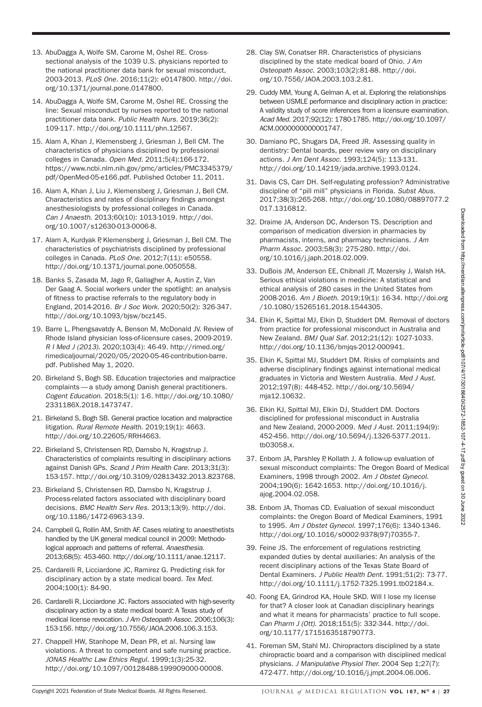- 13. AbuDagga A, Wolfe SM, Carome M, Oshel RE. Crosssectional analysis of the 1039 U.S. physicians reported to the national practitioner data bank for sexual misconduct, 2003-2013. *PLoS One.* 2016;11(2): e0147800. http://doi. org/10.1371/journal.pone.0147800.
- 14. AbuDagga A, Wolfe SM, Carome M, Oshel RE. Crossing the line: Sexual misconduct by nurses reported to the national practitioner data bank. *Public Health Nurs.* 2019;36(2): 109-117. http://doi.org/10.1111/phn.12567.
- 15. Alam A, Khan J, Klemensberg J, Griesman J, Bell CM. The characteristics of physicians disciplined by professional colleges in Canada. *Open Med.* 2011;5(4):166-172. https://www.ncbi.nlm.nih.gov/pmc/articles/PMC3345379/ pdf/OpenMed-05-e166.pdf. Published October 11, 2011.
- 16. Alam A, Khan J, Liu J, Klemensberg J, Griesman J, Bell CM. Characteristics and rates of disciplinary findings amongst anesthesiologists by professional colleges in Canada. *Can J Anaesth*. 2013;60(10): 1013-1019. http://doi. org/10.1007/s12630-013-0006-8.
- 17. Alam A, Kurdyak P, Klemensberg J, Griesman J, Bell CM. The characteristics of psychiatrists disciplined by professional colleges in Canada. *PLoS One.* 2012;7(11): e50558. http://doi.org/10.1371/journal.pone.0050558.
- 18. Banks S, Zasada M, Jago R, Gallagher A, Austin Z, Van Der Gaag A. Social workers under the spotlight: an analysis of fitness to practise referrals to the regulatory body in England, 2014-2016. *Br J Soc Work.* 2020;50(2): 326-347. http://doi.org/10.1093/bjsw/bcz145.
- 19. Barre L, Phengsavatdy A, Benson M, McDonald JV. Review of Rhode Island physician loss-of-licensure cases, 2009-2019. *R I Med J (2013).* 2020;103(4): 46-49. http://rimed.org/ rimedicaljournal/2020/05/2020-05-46-contribution-barre. pdf. Published May 1, 2020.
- 20. Birkeland S, Bogh SB. Education trajectories and malpractice complaints — a study among Danish general practitioners. *Cogent Education*. 2018;5(1): 1-6. http://doi.org/10.1080/ 2331186X.2018.1473747.
- 21. Birkeland S, Bogh SB. General practice location and malpractice litigation. *Rural Remote Health.* 2019;19(1): 4663. http://doi.org/10.22605/RRH4663.
- 22. Birkeland S, Christensen RD, Damsbo N, Kragstrup J. Characteristics of complaints resulting in disciplinary actions against Danish GPs. *Scand J Prim Health Care*. 2013;31(3): 153-157. http://doi.org/10.3109/02813432.2013.823768.
- 23. Birkeland S, Christensen RD, Damsbo N, Kragstrup J. Process-related factors associated with disciplinary board decisions. *BMC Health Serv Res*. 2013;13(9). http://doi. org/10.1186/1472-6963-13-9.
- 24. Campbell G, Rollin AM, Smith AF. Cases relating to anaesthetists handled by the UK general medical council in 2009: Methodological approach and patterns of referral. *Anaesthesia.* 2013;68(5): 453-460. http://doi.org/10.1111/anae.12117.
- 25. Cardarelli R, Licciardone JC, Ramirez G. Predicting risk for disciplinary action by a state medical board. *Tex Med*. 2004;100(1): 84-90.
- 26. Cardarelli R, Licciardone JC. Factors associated with high-severity disciplinary action by a state medical board: A Texas study of medical license revocation*. J Am Osteopath Assoc.* 2006;106(3): 153-156. http://doi.org/10.7556/JAOA.2006.106.3.153.
- 27. Chappell HW, Stanhope M, Dean PR, et al. Nursing law violations. A threat to competent and safe nursing practice. *JONAS Healthc Law Ethics Regul.* 1999;1(3):25-32. http://doi.org/10.1097/00128488-199909000-00008.
- 28. Clay SW, Conatser RR. Characteristics of physicians disciplined by the state medical board of Ohio. *J Am Osteopath Assoc*. 2003;103(2):81-88. http://doi. org/10.7556/JAOA.2003.103.2.81.
- 29. Cuddy MM, Young A, Gelman A, et al. Exploring the relationships between USMLE performance and disciplinary action in practice: A validity study of score inferences from a licensure examination. *Acad Med.* 2017;92(12): 1780-1785. http://doi.org/10.1097/ ACM.0000000000001747.
- 30. Damiano PC, Shugars DA, Freed JR. Assessing quality in dentistry: Dental boards, peer review vary on disciplinary actions. *J Am Dent Assoc.* 1993;124(5): 113-131. http://doi.org/10.14219/jada.archive.1993.0124.
- 31. Davis CS, Carr DH. Self-regulating profession? Administrative discipline of "pill mill" physicians in Florida. *Subst Abus.* 2017;38(3):265-268. http://doi.org/10.1080/08897077.2 017.1316812.
- 32. Draime JA, Anderson DC, Anderson TS. Description and comparison of medication diversion in pharmacies by pharmacists, interns, and pharmacy technicians. *J Am Pharm Assoc.* 2003;58(3): 275-280. http://doi. org/10.1016/j.japh.2018.02.009.
- 33. DuBois JM, Anderson EE, Chibnall JT, Mozersky J, Walsh HA. Serious ethical violations in medicine: A statistical and ethical analysis of 280 cases in the United States from 2008-2016. *Am J Bioeth*. 2019;19(1): 16-34. http://doi.org /10.1080/15265161.2018.1544305.
- 34. Elkin K, Spittal MJ, Elkin D, Studdert DM. Removal of doctors from practice for professional misconduct in Australia and New Zealand. *BMJ Qual Saf.* 2012;21(12): 1027-1033. http://doi.org/10.1136/bmjqs-2012-000941.
- 35. Elkin K, Spittal MJ, Studdert DM. Risks of complaints and adverse disciplinary findings against international medical graduates in Victoria and Western Australia. *Med J Aust.* 2012;197(8): 448-452. http://doi.org/10.5694/ mja12.10632.
- 36. Elkin KJ, Spittal MJ, Elkin DJ, Studdert DM. Doctors disciplined for professional misconduct in Australia and New Zealand, 2000-2009. *Med J Aust*. 2011;194(9): 452-456. http://doi.org/10.5694/j.1326-5377.2011. tb03058.x.
- 37. Enbom JA, Parshley P, Kollath J. A follow-up evaluation of sexual misconduct complaints: The Oregon Board of Medical Examiners, 1998 through 2002. *Am J Obstet Gynecol.* 2004;190(6): 1642-1653. http://doi.org/10.1016/j. ajog.2004.02.058.  $\alpha = 2$  (1) *A* 2/2 2/1/22 3:31 PM Downloaded from https://meridian.allenpress.com/jmr/article-point in the stationary (1) and *A* 2/2 (*A* 2/2 2 (*A 2)* (*A 2)* (*A 2)* (*A 2)* (*A 2)* (*A 2)* (*A 2)* (*A 2)* (*A 2)* (
	- 38. Enbom JA, Thomas CD. Evaluation of sexual misconduct complaints: the Oregon Board of Medical Examiners, 1991 to 1995. *Am J Obstet Gynecol*. 1997;176(6): 1340-1346. http://doi.org/10.1016/s0002-9378(97)70355-7.
	- 39. Feine JS. The enforcement of regulations restricting expanded duties by dental auxiliaries: An analysis of the recent disciplinary actions of the Texas State Board of Dental Examiners. *J Public Health Dent.* 1991;51(2): 73-77. http://doi.org/10.1111/j.1752-7325.1991.tb02184.x.
	- 40. Foong EA, Grindrod KA, Houle SKD. Will I lose my license for that? A closer look at Canadian disciplinary hearings and what it means for pharmacists' practice to full scope. *Can Pharm J (Ott).* 2018;151(5): 332-344. http://doi. org/10.1177/1715163518790773.
	- 41. Foreman SM, Stahl MJ. Chiropractors disciplined by a state chiropractic board and a comparison with disciplined medical physicians. *J Manipulative Physiol Ther.* 2004 Sep 1;27(7): 472-477. http://doi.org/10.1016/j.jmpt.2004.06.006.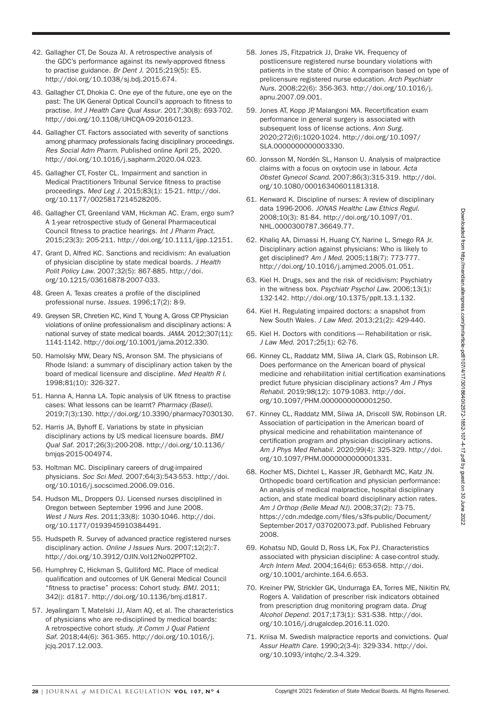- 42. Gallagher CT, De Souza AI. A retrospective analysis of the GDC's performance against its newly-approved fitness to practise guidance. *Br Dent J*. 2015;219(5): E5. http://doi.org/10.1038/sj.bdj.2015.674.
- 43. Gallagher CT, Dhokia C. One eye of the future, one eye on the past: The UK General Optical Council's approach to fitness to practise. *Int J Health Care Qual Assur*. 2017;30(8): 693-702. http://doi.org/10.1108/IJHCQA-09-2016-0123.
- 44. Gallagher CT. Factors associated with severity of sanctions among pharmacy professionals facing disciplinary proceedings. *Res Social Adm Pharm*. Published online April 25, 2020. http://doi.org/10.1016/j.sapharm.2020.04.023.
- 45. Gallagher CT, Foster CL. Impairment and sanction in Medical Practitioners Tribunal Service fitness to practise proceedings. *Med Leg J*. 2015;83(1): 15-21. http://doi. org/10.1177/0025817214528205.
- 46. Gallagher CT, Greenland VAM, Hickman AC. Eram, ergo sum? A 1-year retrospective study of General Pharmaceutical Council fitness to practice hearings. *Int J Pharm Pract.* 2015;23(3): 205-211. http://doi.org/10.1111/ijpp.12151.
- 47. Grant D, Alfred KC. Sanctions and recidivism: An evaluation of physician discipline by state medical boards. *J Health Polit Policy Law*. 2007;32(5): 867-885. http://doi. org/10.1215/03616878-2007-033.
- 48. Green A. Texas creates a profile of the disciplined professional nurse. *Issues.* 1996;17(2): 8-9.
- 49. Greysen SR, Chretien KC, Kind T, Young A, Gross CP. Physician violations of online professionalism and disciplinary actions: A national survey of state medical boards. *JAMA.* 2012;307(11): 1141-1142. http://doi.org/10.1001/jama.2012.330.
- 50. Hamolsky MW, Deary NS, Aronson SM. The physicians of Rhode Island: a summary of disciplinary action taken by the board of medical licensure and discipline. *Med Health R I*. 1998;81(10): 326-327.
- 51. Hanna A, Hanna LA. Topic analysis of UK fitness to practise cases: What lessons can be learnt? *Pharmacy (Basel).* 2019;7(3):130. http://doi.org/10.3390/pharmacy7030130.
- 52. Harris JA, Byhoff E. Variations by state in physician disciplinary actions by US medical licensure boards. *BMJ Qual Saf*. 2017;26(3):200-208. http://doi.org/10.1136/ bmjqs-2015-004974.
- 53. Holtman MC. Disciplinary careers of drug-impaired physicians. *Soc Sci Med.* 2007;64(3):543-553. http://doi. org/10.1016/j.socscimed.2006.09.016.
- 54. Hudson ML, Droppers OJ. Licensed nurses disciplined in Oregon between September 1996 and June 2008. *West J Nurs Res*. 2011;33(8): 1030-1046. http://doi. org/10.1177/0193945910384491.
- 55. Hudspeth R. Survey of advanced practice registered nurses disciplinary action. *Online J Issues Nurs.* 2007;12(2):7. http://doi.org/10.3912/OJIN.Vol12No02PPT02.
- 56. Humphrey C, Hickman S, Gulliford MC. Place of medical qualification and outcomes of UK General Medical Council "fitness to practise" process: Cohort study. BMJ. 2011; 342(): d1817. http://doi.org/10.1136/bmj.d1817.
- 57. Jeyalingam T, Matelski JJ, Alam AQ, et al. The characteristics of physicians who are re-disciplined by medical boards: A retrospective cohort study. *Jt Comm J Qual Patient Saf.* 2018;44(6): 361-365. http://doi.org/10.1016/j. jcjq.2017.12.003.
- 58. Jones JS, Fitzpatrick JJ, Drake VK. Frequency of postlicensure registered nurse boundary violations with patients in the state of Ohio: A comparison based on type of prelicensure registered nurse education. *Arch Psychiatr Nurs*. 2008;22(6): 356-363. http://doi.org/10.1016/j. apnu.2007.09.001.
- 59. Jones AT, Kopp JP, Malangoni MA. Recertification exam performance in general surgery is associated with subsequent loss of license actions. *Ann Surg.* 2020;272(6):1020-1024. http://doi.org/10.1097/ SLA.0000000000003330.
- 60. Jonsson M, Nordén SL, Hanson U. Analysis of malpractice claims with a focus on oxytocin use in labour. *Acta Obstet Gynecol Scand*. 2007;86(3):315-319. http://doi. org/10.1080/00016340601181318.
- 61. Kenward K. Discipline of nurses: A review of disciplinary data 1996-2006. *JONAS Healthc Law Ethics Regul*. 2008;10(3): 81-84. http://doi.org/10.1097/01. NHL.0000300787.36649.77.
- 62. Khaliq AA, Dimassi H, Huang CY, Narine L, Smego RA Jr. Disciplinary action against physicians: Who is likely to get disciplined? *Am J Med.* 2005;118(7): 773-777. http://doi.org/10.1016/j.amjmed.2005.01.051.
- 63. Kiel H. Drugs, sex and the risk of recidivism: Psychiatry in the witness box. *Psychiatr Psychol Law*. 2006;13(1): 132-142. http://doi.org/10.1375/pplt.13.1.132.
- 64. Kiel H. Regulating impaired doctors: a snapshot from New South Wales. *J Law Med*. 2013;21(2): 429-440.
- 65. Kiel H. Doctors with conditions Rehabilitation or risk. *J Law Med.* 2017;25(1): 62-76.
- 66. Kinney CL, Raddatz MM, Sliwa JA, Clark GS, Robinson LR. Does performance on the American board of physical medicine and rehabilitation initial certification examinations predict future physician disciplinary actions? *Am J Phys Rehabil*. 2019;98(12): 1079-1083. http://doi. org/10.1097/PHM.0000000000001250.
- 67. Kinney CL, Raddatz MM, Sliwa JA, Driscoll SW, Robinson LR. Association of participation in the American board of physical medicine and rehabilitation maintenance of certification program and physician disciplinary actions. *Am J Phys Med Rehabil.* 2020;99(4): 325-329. http://doi. org/10.1097/PHM.0000000000001331.
- 68. Kocher MS, Dichtel L, Kasser JR, Gebhardt MC, Katz JN. Orthopedic board certification and physician performance: An analysis of medical malpractice, hospital disciplinary action, and state medical board disciplinary action rates. *Am J Orthop (Belle Mead NJ).* 2008;37(2): 73-75. https://cdn.mdedge.com/files/s3fs-public/Document/ September-2017/037020073.pdf. Published February 2008. 46. Galillation of the first state of the state of the state of the state of the state of the state of the state of the state of the state of the state of the state of the state of the state of the state of the state of t
	- 69. Kohatsu ND, Gould D, Ross LK, Fox PJ. Characteristics associated with physician discipline: A case-control study. *Arch Intern Med.* 2004;164(6): 653-658. http://doi. org/10.1001/archinte.164.6.653.
	- 70. Kreiner PW, Strickler GK, Undurraga EA, Torres ME, Nikitin RV, Rogers A. Validation of prescriber risk indicators obtained from prescription drug monitoring program data. *Drug Alcohol Depend.* 2017;173(1): S31-S38. http://doi. org/10.1016/j.drugalcdep.2016.11.020.
	- 71. Kriisa M. Swedish malpractice reports and convictions. *Qual Assur Health Care.* 1990;2(3-4): 329-334. http://doi. org/10.1093/intqhc/2.3-4.329.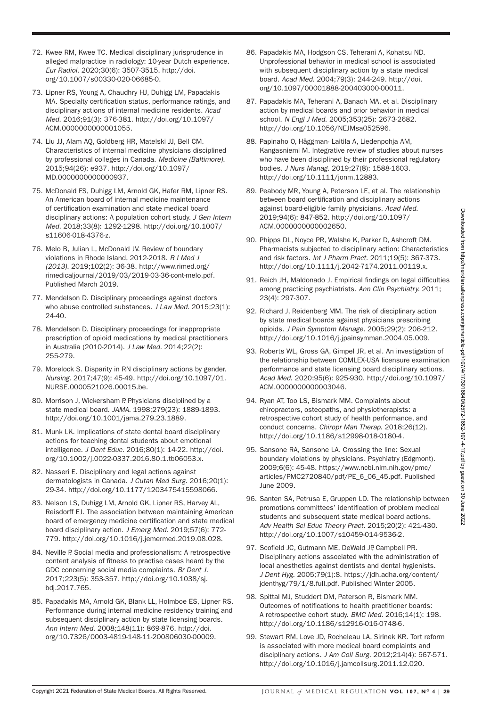- 72. Kwee RM, Kwee TC. Medical disciplinary jurisprudence in alleged malpractice in radiology: 10-year Dutch experience. *Eur Radiol*. 2020;30(6): 3507-3515. http://doi. org/10.1007/s00330-020-06685-0.
- 73. Lipner RS, Young A, Chaudhry HJ, Duhigg LM, Papadakis MA. Specialty certification status, performance ratings, and disciplinary actions of internal medicine residents. *Acad Med*. 2016;91(3): 376-381. http://doi.org/10.1097/ ACM.0000000000001055.
- 74. Liu JJ, Alam AQ, Goldberg HR, Matelski JJ, Bell CM. Characteristics of internal medicine physicians disciplined by professional colleges in Canada. *Medicine (Baltimore).* 2015;94(26): e937. http://doi.org/10.1097/ MD.0000000000000937.
- 75. McDonald FS, Duhigg LM, Arnold GK, Hafer RM, Lipner RS. An American board of internal medicine maintenance of certification examination and state medical board disciplinary actions: A population cohort study. *J Gen Intern Med.* 2018;33(8): 1292-1298. http://doi.org/10.1007/ s11606-018-4376-z.
- 76. Melo B, Julian L, McDonald JV. Review of boundary violations in Rhode Island, 2012-2018. *R I Med J (2013).* 2019;102(2): 36-38. http://www.rimed.org/ rimedicaljournal/2019/03/2019-03-36-cont-melo.pdf. Published March 2019.
- 77. Mendelson D. Disciplinary proceedings against doctors who abuse controlled substances. *J Law Med.* 2015;23(1): 24-40.
- 78. Mendelson D. Disciplinary proceedings for inappropriate prescription of opioid medications by medical practitioners in Australia (2010-2014). *J Law Med.* 2014;22(2): 255-279.
- 79. Morelock S. Disparity in RN disciplinary actions by gender. *Nursing.* 2017;47(9): 45-49. http://doi.org/10.1097/01. NURSE.0000521026.00015.be.
- 80. Morrison J, Wickersham P. Physicians disciplined by a state medical board. *JAMA.* 1998;279(23): 1889-1893. http://doi.org/10.1001/jama.279.23.1889.
- 81. Munk LK. Implications of state dental board disciplinary actions for teaching dental students about emotional intelligence. *J Dent Educ.* 2016;80(1): 14-22. http://doi. org/10.1002/j.0022-0337.2016.80.1.tb06053.x.
- 82. Nasseri E. Disciplinary and legal actions against dermatologists in Canada. *J Cutan Med Surg.* 2016;20(1): 29-34. http://doi.org/10.1177/1203475415598066.
- 83. Nelson LS, Duhigg LM, Arnold GK, Lipner RS, Harvey AL, Reisdorff EJ. The association between maintaining American board of emergency medicine certification and state medical board disciplinary action*. J Emerg Med.* 2019;57(6): 772- 779. http://doi.org/10.1016/j.jemermed.2019.08.028.
- 84. Neville P. Social media and professionalism: A retrospective content analysis of fitness to practise cases heard by the GDC concerning social media complaints. *Br Dent J.*  2017;223(5): 353-357. http://doi.org/10.1038/sj. bdj.2017.765.
- 85. Papadakis MA, Arnold GK, Blank LL, Holmboe ES, Lipner RS. Performance during internal medicine residency training and subsequent disciplinary action by state licensing boards. *Ann Intern Med*. 2008;148(11): 869-876. http://doi. org/10.7326/0003-4819-148-11-200806030-00009.
- 86. Papadakis MA, Hodgson CS, Teherani A, Kohatsu ND. Unprofessional behavior in medical school is associated with subsequent disciplinary action by a state medical board. *Acad Med.* 2004;79(3): 244-249. http://doi. org/10.1097/00001888-200403000-00011.
- 87. Papadakis MA, Teherani A, Banach MA, et al. Disciplinary action by medical boards and prior behavior in medical school. *N Engl J Med*. 2005;353(25): 2673-2682. http://doi.org/10.1056/NEJMsa052596.
- 88. Papinaho O, Häggman‐ Laitila A, Liedenpohja AM, Kangasniemi M. Integrative review of studies about nurses who have been disciplined by their professional regulatory bodies. *J Nurs Manag*. 2019;27(8): 1588-1603. http://doi.org/10.1111/jonm.12883.
- 89. Peabody MR, Young A, Peterson LE, et al. The relationship between board certification and disciplinary actions against board-eligible family physicians. *Acad Med*. 2019;94(6): 847-852. http://doi.org/10.1097/ ACM.0000000000002650.
- 90. Phipps DL, Noyce PR, Walshe K, Parker D, Ashcroft DM. Pharmacists subjected to disciplinary action: Characteristics and risk factors. *Int J Pharm Pract.* 2011;19(5): 367-373. http://doi.org/10.1111/j.2042-7174.2011.00119.x.
- 91. Reich JH, Maldonado J. Empirical findings on legal difficulties among practicing psychiatrists. *Ann Clin Psychiatry.* 2011; 23(4): 297-307.
- 92. Richard J, Reidenberg MM. The risk of disciplinary action by state medical boards against physicians prescribing opioids. *J Pain Symptom Manage.* 2005;29(2): 206-212. http://doi.org/10.1016/j.jpainsymman.2004.05.009.
- 93. Roberts WL, Gross GA, Gimpel JR, et al. An investigation of the relationship between COMLEX-USA licensure examination performance and state licensing board disciplinary actions. *Acad Med*. 2020;95(6): 925-930. http://doi.org/10.1097/ ACM.0000000000003046.
- 94. Ryan AT, Too LS, Bismark MM. Complaints about chiropractors, osteopaths, and physiotherapists: a retrospective cohort study of health performance, and conduct concerns. *Chiropr Man Therap*. 2018;26(12). http://doi.org/10.1186/s12998-018-0180-4.
- 95. Sansone RA, Sansone LA. Crossing the line: Sexual boundary violations by physicians. Psychiatry (Edgmont). 2009;6(6): 45-48. https://www.ncbi.nlm.nih.gov/pmc/ articles/PMC2720840/pdf/PE\_6\_06\_45.pdf. Published June 2009.
- 96. Santen SA, Petrusa E, Gruppen LD. The relationship between promotions committees' identification of problem medical students and subsequent state medical board actions. *Adv Health Sci Educ Theory Pract.* 2015;20(2): 421-430. http://doi.org/10.1007/s10459-014-9536-2. on a control of the state of the state of the state of the state of the state of the state of the state of the state of the state of the state of the state of the state of the state of the state of the state of the stat
	- 97. Scofield JC, Gutmann ME, DeWald JP, Campbell PR. Disciplinary actions associated with the administration of local anesthetics against dentists and dental hygienists. *J Dent Hyg.* 2005;79(1):8. https://jdh.adha.org/content/ jdenthyg/79/1/8.full.pdf. Published Winter 2005.
	- 98. Spittal MJ, Studdert DM, Paterson R, Bismark MM. Outcomes of notifications to health practitioner boards: A retrospective cohort study. *BMC Med.* 2016;14(1): 198. http://doi.org/10.1186/s12916-016-0748-6.
	- 99. Stewart RM, Love JD, Rocheleau LA, Sirinek KR. Tort reform is associated with more medical board complaints and disciplinary actions. *J Am Coll Surg.* 2012;214(4): 567-571. http://doi.org/10.1016/j.jamcollsurg.2011.12.020.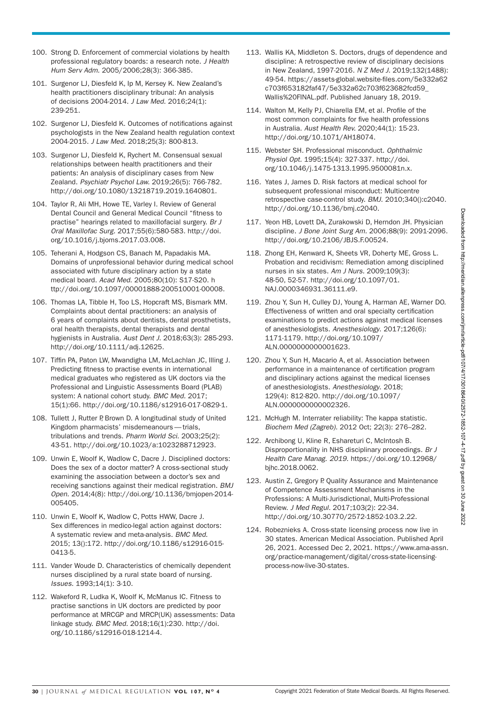- 100. Strong D. Enforcement of commercial violations by health professional regulatory boards: a research note. *J Health Hum Serv Adm.* 2005/2006;28(3): 366-385.
- 101. Surgenor LJ, Diesfeld K, Ip M, Kersey K. New Zealand's health practitioners disciplinary tribunal: An analysis of decisions 2004-2014. *J Law Med*. 2016;24(1): 239-251.
- 102. Surgenor LJ, Diesfeld K. Outcomes of notifications against psychologists in the New Zealand health regulation context 2004-2015. *J Law Med.* 2018;25(3): 800-813.
- 103. Surgenor LJ, Diesfeld K, Rychert M. Consensual sexual relationships between health practitioners and their patients: An analysis of disciplinary cases from New Zealand. *Psychiatr Psychol Law.* 2019;26(5): 766-782. http://doi.org/10.1080/13218719.2019.1640801.
- 104. Taylor R, Ali MH, Howe TE, Varley I. Review of General Dental Council and General Medical Council "fitness to practise" hearings related to maxillofacial surgery. *Br J Oral Maxillofac Surg.* 2017;55(6):580-583. http://doi. org/10.1016/j.bjoms.2017.03.008.
- 105. Teherani A, Hodgson CS, Banach M, Papadakis MA. Domains of unprofessional behavior during medical school associated with future disciplinary action by a state medical board. *Acad Med*. 2005;80(10): S17-S20. h ttp://doi.org/10.1097/00001888-200510001-00008.
- 106. Thomas LA, Tibble H, Too LS, Hopcraft MS, Bismark MM. Complaints about dental practitioners: an analysis of 6 years of complaints about dentists, dental prosthetists, oral health therapists, dental therapists and dental hygienists in Australia. *Aust Dent J*. 2018;63(3): 285-293. http://doi.org/10.1111/adj.12625. The Course of Maria Course in the Course of Maria Course in the Course of Maria Course in the Course of Maria Course in the Course of Maria Course in the Course of Maria Course in the Course of Maria Course of Maria Cours
	- 107. Tiffin PA, Paton LW, Mwandigha LM, McLachlan JC, Illing J. Predicting fitness to practise events in international medical graduates who registered as UK doctors via the Professional and Linguistic Assessments Board (PLAB) system: A national cohort study. *BMC Med.* 2017; 15(1):66. http://doi.org/10.1186/s12916-017-0829-1.
	- 108. Tullett J, Rutter P, Brown D. A longitudinal study of United Kingdom pharmacists' misdemeanours — trials, tribulations and trends. *Pharm World Sci.* 2003;25(2): 43-51. http://doi.org/10.1023/a:1023288712923.
	- 109. Unwin E, Woolf K, Wadlow C, Dacre J. Disciplined doctors: Does the sex of a doctor matter? A cross-sectional study examining the association between a doctor's sex and receiving sanctions against their medical registration. *BMJ Open.* 2014;4(8): http://doi.org/10.1136/bmjopen-2014- 005405.
	- 110. Unwin E, Woolf K, Wadlow C, Potts HWW, Dacre J. Sex differences in medico-legal action against doctors: A systematic review and meta-analysis. *BMC Med.* 2015; 13():172. http://doi.org/10.1186/s12916-015- 0413-5.
	- 111. Vander Woude D. Characteristics of chemically dependent nurses disciplined by a rural state board of nursing. *Issues.* 1993;14(1): 3-10.
	- 112. Wakeford R, Ludka K, Woolf K, McManus IC. Fitness to practise sanctions in UK doctors are predicted by poor performance at MRCGP and MRCP(UK) assessments: Data linkage study. *BMC Med.* 2018;16(1):230. http://doi. org/10.1186/s12916-018-1214-4.
- 113. Wallis KA, Middleton S. Doctors, drugs of dependence and discipline: A retrospective review of disciplinary decisions in New Zealand, 1997-2016. *N Z Med J*. 2019;132(1488): 49-54. https://assets-global.website-files.com/5e332a62 c703f653182faf47/5e332a62c703f623682fcd59\_ Wallis%20FINAL.pdf. Published January 18, 2019.
- 114. Walton M, Kelly PJ, Chiarella EM, et al. Profile of the most common complaints for five health professions in Australia. *Aust Health Rev.* 2020;44(1): 15-23. http://doi.org/10.1071/AH18074.
- 115. Webster SH. Professional misconduct. *Ophthalmic Physiol Opt.* 1995;15(4): 327-337. http://doi. org/10.1046/j.1475-1313.1995.9500081n.x.
- 116. Yates J, James D. Risk factors at medical school for subsequent professional misconduct: Multicentre retrospective case-control study. *BMJ*. 2010;340():c2040. http://doi.org/10.1136/bmj.c2040.
- 117. Yeon HB, Lovett DA, Zurakowski D, Herndon JH. Physician discipline. *J Bone Joint Surg Am.* 2006;88(9): 2091-2096. http://doi.org/10.2106/JBJS.F.00524.
- 118. Zhong EH, Kenward K, Sheets VR, Doherty ME, Gross L. Probation and recidivism: Remediation among disciplined nurses in six states. *Am J Nurs.* 2009;109(3): 48-50, 52-57. http://doi.org/10.1097/01. NAJ.0000346931.36111.e9.
- 119. Zhou Y, Sun H, Culley DJ, Young A, Harman AE, Warner DO. Effectiveness of written and oral specialty certification examinations to predict actions against medical licenses of anesthesiologists. *Anesthesiology*. 2017;126(6): 1171-1179. http://doi.org/10.1097/ ALN.0000000000001623.
- 120. Zhou Y, Sun H, Macario A, et al. Association between performance in a maintenance of certification program and disciplinary actions against the medical licenses of anesthesiologists. *Anesthesiology*. 2018; 129(4): 812-820. http://doi.org/10.1097/ ALN.0000000000002326.
- 121. McHugh M. Interrater reliability: The kappa statistic. *Biochem Med (Zagreb).* 2012 Oct; 22(3): 276–282.
- 122. Archibong U, Kline R, Eshareturi C, McIntosh B. Disproportionality in NHS disciplinary proceedings. *Br J Health Care Manag. 2019*. https://doi.org/10.12968/ bjhc.2018.0062.
- 123. Austin Z, Gregory P. Quality Assurance and Maintenance of Competence Assessment Mechanisms in the Professions: A Multi-Jurisdictional, Multi-Professional Review. *J Med Regul.* 2017;103(2): 22-34. http://doi.org/10.30770/2572-1852-103.2.22.
- 124. Robeznieks A. Cross-state licensing process now live in 30 states. American Medical Association. Published April 26, 2021. Accessed Dec 2, 2021. https://www.ama-assn. org/practice-management/digital/cross-state-licensingprocess-now-live-30-states.